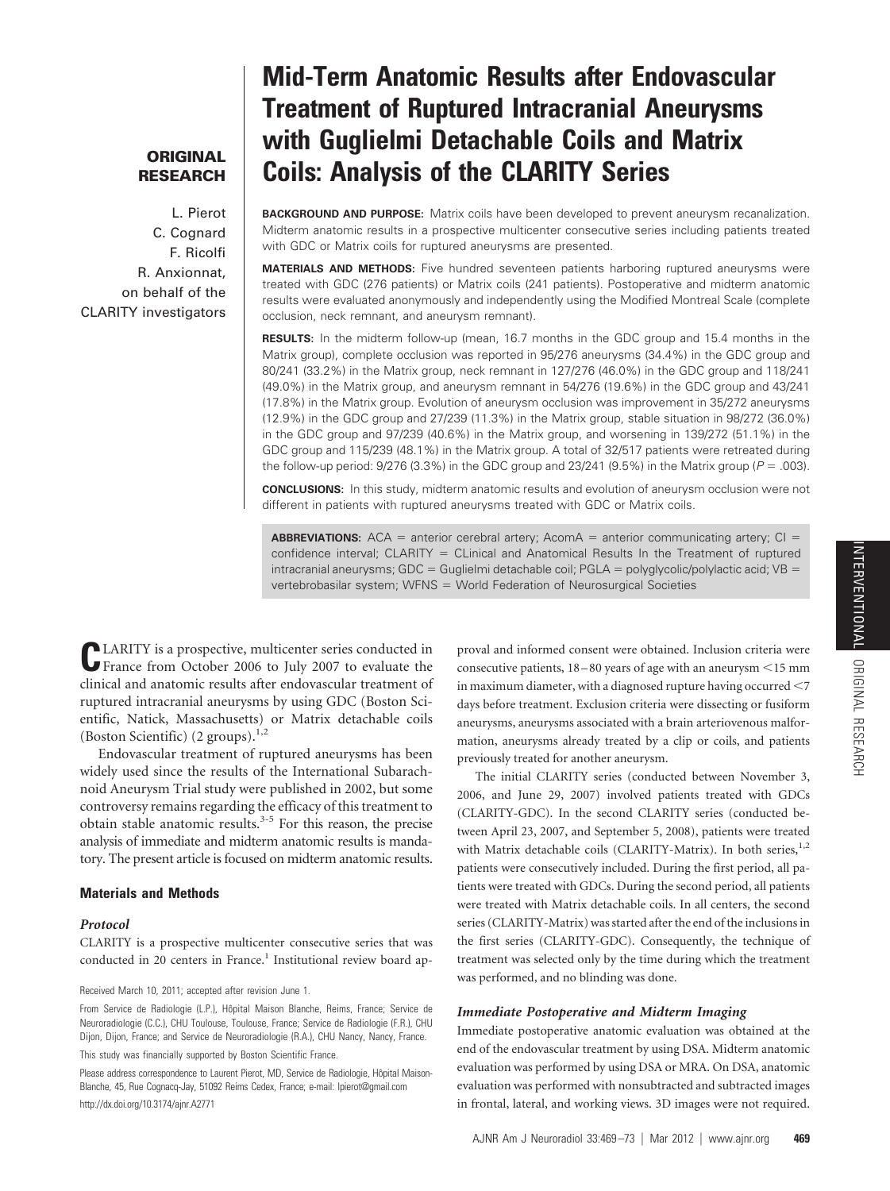# **ORIGINAL RESEARCH**

L. Pierot C. Cognard F. Ricolfi R. Anxionnat, on behalf of the CLARITY investigators

# **Mid-Term Anatomic Results after Endovascular Treatment of Ruptured Intracranial Aneurysms with Guglielmi Detachable Coils and Matrix Coils: Analysis of the CLARITY Series**

**BACKGROUND AND PURPOSE:** Matrix coils have been developed to prevent aneurysm recanalization. Midterm anatomic results in a prospective multicenter consecutive series including patients treated with GDC or Matrix coils for ruptured aneurysms are presented.

**MATERIALS AND METHODS:** Five hundred seventeen patients harboring ruptured aneurysms were treated with GDC (276 patients) or Matrix coils (241 patients). Postoperative and midterm anatomic results were evaluated anonymously and independently using the Modified Montreal Scale (complete occlusion, neck remnant, and aneurysm remnant).

**RESULTS:** In the midterm follow-up (mean, 16.7 months in the GDC group and 15.4 months in the Matrix group), complete occlusion was reported in 95/276 aneurysms (34.4%) in the GDC group and 80/241 (33.2%) in the Matrix group, neck remnant in 127/276 (46.0%) in the GDC group and 118/241 (49.0%) in the Matrix group, and aneurysm remnant in 54/276 (19.6%) in the GDC group and 43/241 (17.8%) in the Matrix group. Evolution of aneurysm occlusion was improvement in 35/272 aneurysms (12.9%) in the GDC group and 27/239 (11.3%) in the Matrix group, stable situation in 98/272 (36.0%) in the GDC group and 97/239 (40.6%) in the Matrix group, and worsening in 139/272 (51.1%) in the GDC group and 115/239 (48.1%) in the Matrix group. A total of 32/517 patients were retreated during the follow-up period:  $9/276$  (3.3%) in the GDC group and  $23/241$  (9.5%) in the Matrix group ( $P = .003$ ).

**CONCLUSIONS:** In this study, midterm anatomic results and evolution of aneurysm occlusion were not different in patients with ruptured aneurysms treated with GDC or Matrix coils.

**ABBREVIATIONS:**  $ACA =$  anterior cerebral artery;  $AcomA =$  anterior communicating artery;  $Cl =$ confidence interval; CLARITY = CLinical and Anatomical Results In the Treatment of ruptured intracranial aneurysms; GDC = Guglielmi detachable coil; PGLA = polyglycolic/polylactic acid;  $VB =$ vertebrobasilar system; WFNS = World Federation of Neurosurgical Societies

**LARITY** is a prospective, multicenter series conducted in France from October 2006 to July 2007 to evaluate the clinical and anatomic results after endovascular treatment of ruptured intracranial aneurysms by using GDC (Boston Scientific, Natick, Massachusetts) or Matrix detachable coils (Boston Scientific)  $(2 \text{ groups})$ .<sup>1,2</sup>

Endovascular treatment of ruptured aneurysms has been widely used since the results of the International Subarachnoid Aneurysm Trial study were published in 2002, but some controversy remains regarding the efficacy of this treatment to obtain stable anatomic results.3-5 For this reason, the precise analysis of immediate and midterm anatomic results is mandatory. The present article is focused on midterm anatomic results.

# **Materials and Methods**

#### *Protocol*

CLARITY is a prospective multicenter consecutive series that was conducted in 20 centers in France.<sup>1</sup> Institutional review board ap-

Received March 10, 2011; accepted after revision June 1.

From Service de Radiologie (L.P.), Hôpital Maison Blanche, Reims, France; Service de Neuroradiologie (C.C.), CHU Toulouse, Toulouse, France; Service de Radiologie (F.R.), CHU Dijon, Dijon, France; and Service de Neuroradiologie (R.A.), CHU Nancy, Nancy, France.

This study was financially supported by Boston Scientific France.

Please address correspondence to Laurent Pierot, MD, Service de Radiologie, Hôpital Maison-Blanche, 45, Rue Cognacq-Jay, 51092 Reims Cedex, France; e-mail: lpierot@gmail.com http://dx.doi.org/10.3174/ajnr.A2771

proval and informed consent were obtained. Inclusion criteria were consecutive patients,  $18-80$  years of age with an aneurysm  $\leq$ 15 mm in maximum diameter, with a diagnosed rupture having occurred  $<$  7 days before treatment. Exclusion criteria were dissecting or fusiform aneurysms, aneurysms associated with a brain arteriovenous malformation, aneurysms already treated by a clip or coils, and patients previously treated for another aneurysm.

The initial CLARITY series (conducted between November 3, 2006, and June 29, 2007) involved patients treated with GDCs (CLARITY-GDC). In the second CLARITY series (conducted between April 23, 2007, and September 5, 2008), patients were treated with Matrix detachable coils (CLARITY-Matrix). In both series,<sup>1,2</sup> patients were consecutively included. During the first period, all patients were treated with GDCs. During the second period, all patients were treated with Matrix detachable coils. In all centers, the second series (CLARITY-Matrix) was started after the end of the inclusions in the first series (CLARITY-GDC). Consequently, the technique of treatment was selected only by the time during which the treatment was performed, and no blinding was done.

#### *Immediate Postoperative and Midterm Imaging*

Immediate postoperative anatomic evaluation was obtained at the end of the endovascular treatment by using DSA. Midterm anatomic evaluation was performed by using DSA or MRA. On DSA, anatomic evaluation was performed with nonsubtracted and subtracted images in frontal, lateral, and working views. 3D images were not required.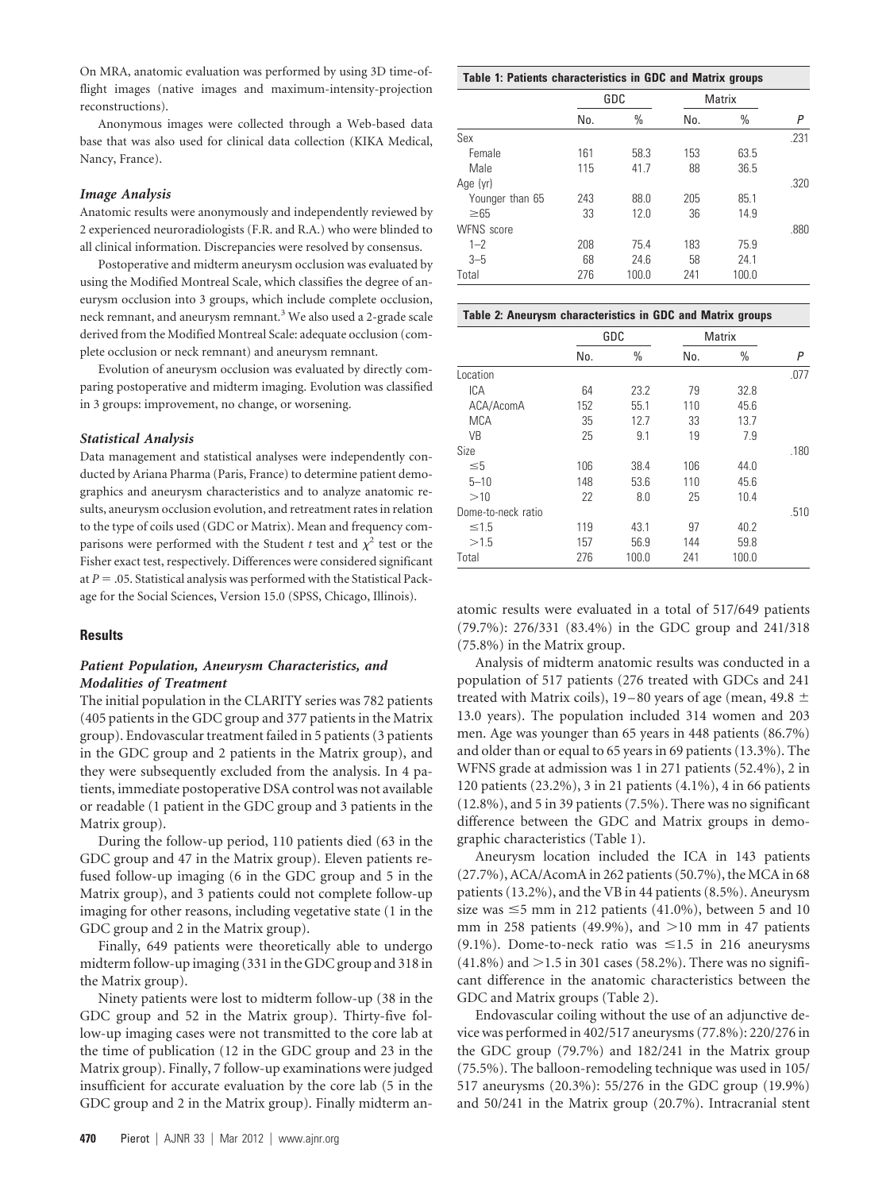On MRA, anatomic evaluation was performed by using 3D time-offlight images (native images and maximum-intensity-projection reconstructions).

Anonymous images were collected through a Web-based data base that was also used for clinical data collection (KIKA Medical, Nancy, France).

#### *Image Analysis*

Anatomic results were anonymously and independently reviewed by 2 experienced neuroradiologists (F.R. and R.A.) who were blinded to all clinical information. Discrepancies were resolved by consensus.

Postoperative and midterm aneurysm occlusion was evaluated by using the Modified Montreal Scale, which classifies the degree of aneurysm occlusion into 3 groups, which include complete occlusion, neck remnant, and aneurysm remnant.<sup>3</sup> We also used a 2-grade scale derived from the Modified Montreal Scale: adequate occlusion (complete occlusion or neck remnant) and aneurysm remnant.

Evolution of aneurysm occlusion was evaluated by directly comparing postoperative and midterm imaging. Evolution was classified in 3 groups: improvement, no change, or worsening.

#### *Statistical Analysis*

Data management and statistical analyses were independently conducted by Ariana Pharma (Paris, France) to determine patient demographics and aneurysm characteristics and to analyze anatomic results, aneurysm occlusion evolution, and retreatment rates in relation to the type of coils used (GDC or Matrix). Mean and frequency comparisons were performed with the Student *t* test and  $\chi^2$  test or the Fisher exact test, respectively. Differences were considered significant at  $P = 0.05$ . Statistical analysis was performed with the Statistical Package for the Social Sciences, Version 15.0 (SPSS, Chicago, Illinois).

#### **Results**

### *Patient Population, Aneurysm Characteristics, and Modalities of Treatment*

The initial population in the CLARITY series was 782 patients (405 patients in the GDC group and 377 patients in the Matrix group). Endovascular treatment failed in 5 patients (3 patients in the GDC group and 2 patients in the Matrix group), and they were subsequently excluded from the analysis. In 4 patients, immediate postoperative DSA control was not available or readable (1 patient in the GDC group and 3 patients in the Matrix group).

During the follow-up period, 110 patients died (63 in the GDC group and 47 in the Matrix group). Eleven patients refused follow-up imaging (6 in the GDC group and 5 in the Matrix group), and 3 patients could not complete follow-up imaging for other reasons, including vegetative state (1 in the GDC group and 2 in the Matrix group).

Finally, 649 patients were theoretically able to undergo midterm follow-up imaging (331 in the GDC group and 318 in the Matrix group).

Ninety patients were lost to midterm follow-up (38 in the GDC group and 52 in the Matrix group). Thirty-five follow-up imaging cases were not transmitted to the core lab at the time of publication (12 in the GDC group and 23 in the Matrix group). Finally, 7 follow-up examinations were judged insufficient for accurate evaluation by the core lab (5 in the GDC group and 2 in the Matrix group). Finally midterm an-

|                   | GDC |       | Matrix |       |      |
|-------------------|-----|-------|--------|-------|------|
|                   | No. | $\%$  | No.    | %     | P    |
| Sex               |     |       |        |       | .231 |
| Female            | 161 | 58.3  | 153    | 63.5  |      |
| Male              | 115 | 41.7  | 88     | 36.5  |      |
| Age (yr)          |     |       |        |       | .320 |
| Younger than 65   | 243 | 88.0  | 205    | 85.1  |      |
| $\geq 65$         | 33  | 12.0  | 36     | 14.9  |      |
| <b>WFNS</b> score |     |       |        |       | .880 |
| $1 - 2$           | 208 | 75.4  | 183    | 75.9  |      |
| $3 - 5$           | 68  | 24.6  | 58     | 24.1  |      |
| Total             | 276 | 100.0 | 241    | 100.0 |      |

| Table 2: Aneurysm characteristics in GDC and Matrix groups |     |       |        |       |      |  |  |  |
|------------------------------------------------------------|-----|-------|--------|-------|------|--|--|--|
|                                                            | GDC |       | Matrix |       |      |  |  |  |
|                                                            | No. | $\%$  | No.    | $\%$  | Ρ    |  |  |  |
| Location                                                   |     |       |        |       | .077 |  |  |  |
| <b>ICA</b>                                                 | 64  | 23.2  | 79     | 32.8  |      |  |  |  |
| ACA/AcomA                                                  | 152 | 55.1  | 110    | 45.6  |      |  |  |  |
| <b>MCA</b>                                                 | 35  | 12.7  | 33     | 13.7  |      |  |  |  |
| <b>VB</b>                                                  | 25  | 9.1   | 19     | 7.9   |      |  |  |  |
| Size                                                       |     |       |        |       | .180 |  |  |  |
| $\leq 5$                                                   | 106 | 38.4  | 106    | 44.0  |      |  |  |  |
| $5 - 10$                                                   | 148 | 53.6  | 110    | 45.6  |      |  |  |  |
| >10                                                        | 22  | 8.0   | 25     | 10.4  |      |  |  |  |
| Dome-to-neck ratio                                         |     |       |        |       | .510 |  |  |  |
| $\leq 1.5$                                                 | 119 | 43.1  | 97     | 40.2  |      |  |  |  |
| >1.5                                                       | 157 | 56.9  | 144    | 59.8  |      |  |  |  |
| Total                                                      | 276 | 100.0 | 241    | 100.0 |      |  |  |  |

atomic results were evaluated in a total of 517/649 patients (79.7%): 276/331 (83.4%) in the GDC group and 241/318 (75.8%) in the Matrix group.

Analysis of midterm anatomic results was conducted in a population of 517 patients (276 treated with GDCs and 241 treated with Matrix coils), 19–80 years of age (mean, 49.8  $\pm$ 13.0 years). The population included 314 women and 203 men. Age was younger than 65 years in 448 patients (86.7%) and older than or equal to 65 years in 69 patients (13.3%). The WFNS grade at admission was 1 in 271 patients (52.4%), 2 in 120 patients (23.2%), 3 in 21 patients (4.1%), 4 in 66 patients (12.8%), and 5 in 39 patients (7.5%). There was no significant difference between the GDC and Matrix groups in demographic characteristics (Table 1).

Aneurysm location included the ICA in 143 patients (27.7%), ACA/AcomA in 262 patients (50.7%), the MCA in 68 patients (13.2%), and the VB in 44 patients (8.5%). Aneurysm size was  $\leq$ 5 mm in 212 patients (41.0%), between 5 and 10 mm in 258 patients (49.9%), and  $>10$  mm in 47 patients  $(9.1\%)$ . Dome-to-neck ratio was  $\leq 1.5$  in 216 aneurysms  $(41.8\%)$  and  $>1.5$  in 301 cases (58.2%). There was no significant difference in the anatomic characteristics between the GDC and Matrix groups (Table 2).

Endovascular coiling without the use of an adjunctive device was performed in 402/517 aneurysms (77.8%): 220/276 in the GDC group (79.7%) and 182/241 in the Matrix group (75.5%). The balloon-remodeling technique was used in 105/ 517 aneurysms (20.3%): 55/276 in the GDC group (19.9%) and 50/241 in the Matrix group (20.7%). Intracranial stent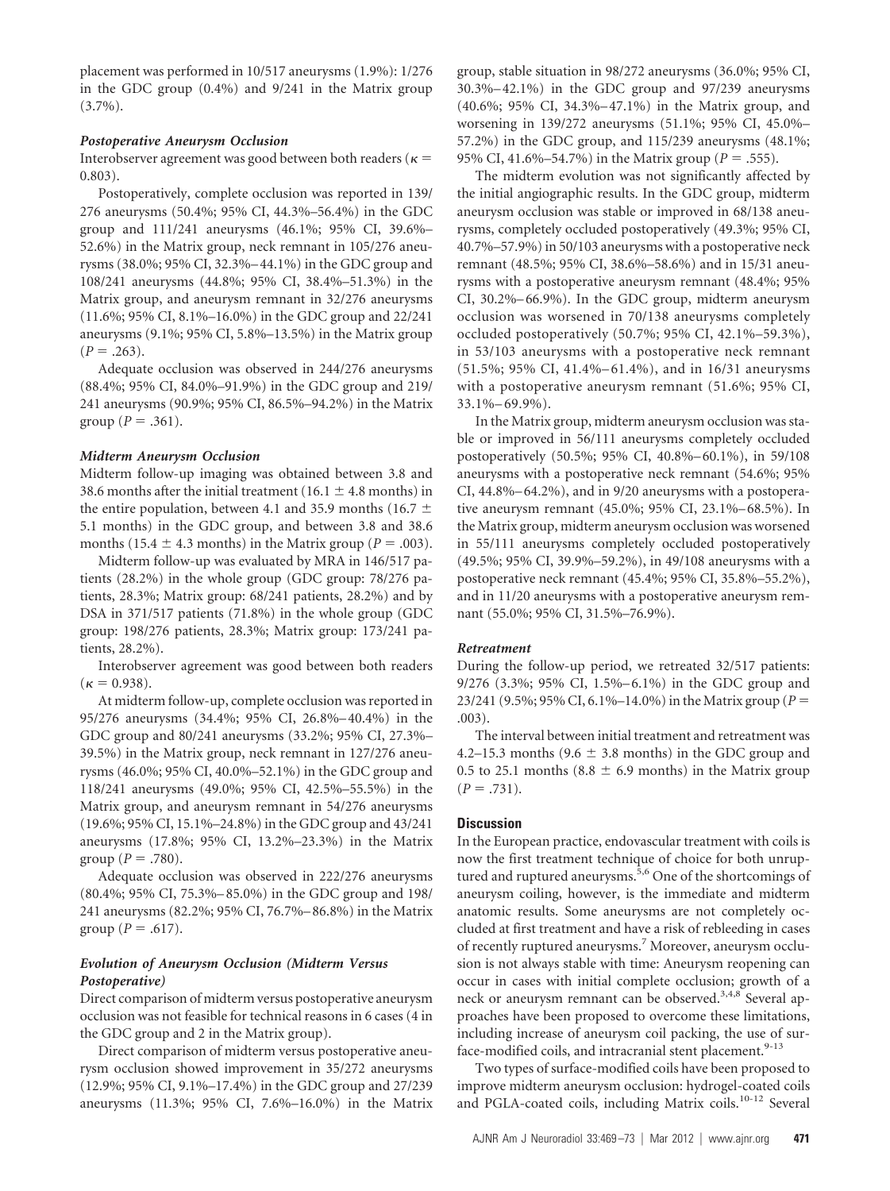placement was performed in 10/517 aneurysms (1.9%): 1/276 in the GDC group (0.4%) and 9/241 in the Matrix group (3.7%).

#### *Postoperative Aneurysm Occlusion*

Interobserver agreement was good between both readers ( $\kappa$  = 0.803).

Postoperatively, complete occlusion was reported in 139/ 276 aneurysms (50.4%; 95% CI, 44.3%–56.4%) in the GDC group and 111/241 aneurysms (46.1%; 95% CI, 39.6%– 52.6%) in the Matrix group, neck remnant in 105/276 aneurysms (38.0%; 95% CI, 32.3%–44.1%) in the GDC group and 108/241 aneurysms (44.8%; 95% CI, 38.4%–51.3%) in the Matrix group, and aneurysm remnant in 32/276 aneurysms (11.6%; 95% CI, 8.1%–16.0%) in the GDC group and 22/241 aneurysms (9.1%; 95% CI, 5.8%–13.5%) in the Matrix group  $(P=.263).$ 

Adequate occlusion was observed in 244/276 aneurysms (88.4%; 95% CI, 84.0%–91.9%) in the GDC group and 219/ 241 aneurysms (90.9%; 95% CI, 86.5%–94.2%) in the Matrix group ( $P = .361$ ).

### *Midterm Aneurysm Occlusion*

Midterm follow-up imaging was obtained between 3.8 and 38.6 months after the initial treatment (16.1  $\pm$  4.8 months) in the entire population, between 4.1 and 35.9 months (16.7  $\pm$ 5.1 months) in the GDC group, and between 3.8 and 38.6 months (15.4  $\pm$  4.3 months) in the Matrix group ( $P = .003$ ).

Midterm follow-up was evaluated by MRA in 146/517 patients (28.2%) in the whole group (GDC group: 78/276 patients, 28.3%; Matrix group: 68/241 patients, 28.2%) and by DSA in 371/517 patients (71.8%) in the whole group (GDC group: 198/276 patients, 28.3%; Matrix group: 173/241 patients, 28.2%).

Interobserver agreement was good between both readers  $(\kappa = 0.938).$ 

At midterm follow-up, complete occlusion was reported in 95/276 aneurysms (34.4%; 95% CI, 26.8%–40.4%) in the GDC group and 80/241 aneurysms (33.2%; 95% CI, 27.3%– 39.5%) in the Matrix group, neck remnant in 127/276 aneurysms (46.0%; 95% CI, 40.0%–52.1%) in the GDC group and 118/241 aneurysms (49.0%; 95% CI, 42.5%–55.5%) in the Matrix group, and aneurysm remnant in 54/276 aneurysms (19.6%; 95% CI, 15.1%–24.8%) in the GDC group and 43/241 aneurysms (17.8%; 95% CI, 13.2%–23.3%) in the Matrix group ( $P = .780$ ).

Adequate occlusion was observed in 222/276 aneurysms (80.4%; 95% CI, 75.3%–85.0%) in the GDC group and 198/ 241 aneurysms (82.2%; 95% CI, 76.7%–86.8%) in the Matrix group ( $P = .617$ ).

# *Evolution of Aneurysm Occlusion (Midterm Versus Postoperative)*

Direct comparison of midterm versus postoperative aneurysm occlusion was not feasible for technical reasons in 6 cases (4 in the GDC group and 2 in the Matrix group).

Direct comparison of midterm versus postoperative aneurysm occlusion showed improvement in 35/272 aneurysms (12.9%; 95% CI, 9.1%–17.4%) in the GDC group and 27/239 aneurysms (11.3%; 95% CI, 7.6%–16.0%) in the Matrix group, stable situation in 98/272 aneurysms (36.0%; 95% CI, 30.3%–42.1%) in the GDC group and 97/239 aneurysms (40.6%; 95% CI, 34.3%–47.1%) in the Matrix group, and worsening in 139/272 aneurysms (51.1%; 95% CI, 45.0%– 57.2%) in the GDC group, and 115/239 aneurysms (48.1%; 95% CI, 41.6%–54.7%) in the Matrix group ( $P = .555$ ).

The midterm evolution was not significantly affected by the initial angiographic results. In the GDC group, midterm aneurysm occlusion was stable or improved in 68/138 aneurysms, completely occluded postoperatively (49.3%; 95% CI, 40.7%–57.9%) in 50/103 aneurysms with a postoperative neck remnant (48.5%; 95% CI, 38.6%–58.6%) and in 15/31 aneurysms with a postoperative aneurysm remnant (48.4%; 95% CI, 30.2%–66.9%). In the GDC group, midterm aneurysm occlusion was worsened in 70/138 aneurysms completely occluded postoperatively (50.7%; 95% CI, 42.1%–59.3%), in 53/103 aneurysms with a postoperative neck remnant (51.5%; 95% CI, 41.4%–61.4%), and in 16/31 aneurysms with a postoperative aneurysm remnant (51.6%; 95% CI, 33.1%–69.9%).

In the Matrix group, midterm aneurysm occlusion was stable or improved in 56/111 aneurysms completely occluded postoperatively (50.5%; 95% CI, 40.8%–60.1%), in 59/108 aneurysms with a postoperative neck remnant (54.6%; 95% CI, 44.8%–64.2%), and in 9/20 aneurysms with a postoperative aneurysm remnant (45.0%; 95% CI, 23.1%–68.5%). In the Matrix group, midterm aneurysm occlusion was worsened in 55/111 aneurysms completely occluded postoperatively (49.5%; 95% CI, 39.9%–59.2%), in 49/108 aneurysms with a postoperative neck remnant (45.4%; 95% CI, 35.8%–55.2%), and in 11/20 aneurysms with a postoperative aneurysm remnant (55.0%; 95% CI, 31.5%–76.9%).

# *Retreatment*

During the follow-up period, we retreated 32/517 patients: 9/276 (3.3%; 95% CI, 1.5%–6.1%) in the GDC group and 23/241 (9.5%; 95% CI, 6.1%–14.0%) in the Matrix group (*P* .003).

The interval between initial treatment and retreatment was 4.2–15.3 months (9.6  $\pm$  3.8 months) in the GDC group and 0.5 to 25.1 months (8.8  $\pm$  6.9 months) in the Matrix group  $(P = .731)$ .

# **Discussion**

In the European practice, endovascular treatment with coils is now the first treatment technique of choice for both unruptured and ruptured aneurysms.<sup>5,6</sup> One of the shortcomings of aneurysm coiling, however, is the immediate and midterm anatomic results. Some aneurysms are not completely occluded at first treatment and have a risk of rebleeding in cases of recently ruptured aneurysms.<sup>7</sup> Moreover, aneurysm occlusion is not always stable with time: Aneurysm reopening can occur in cases with initial complete occlusion; growth of a neck or aneurysm remnant can be observed.<sup>3,4,8</sup> Several approaches have been proposed to overcome these limitations, including increase of aneurysm coil packing, the use of surface-modified coils, and intracranial stent placement.<sup>9-13</sup>

Two types of surface-modified coils have been proposed to improve midterm aneurysm occlusion: hydrogel-coated coils and PGLA-coated coils, including Matrix coils.<sup>10-12</sup> Several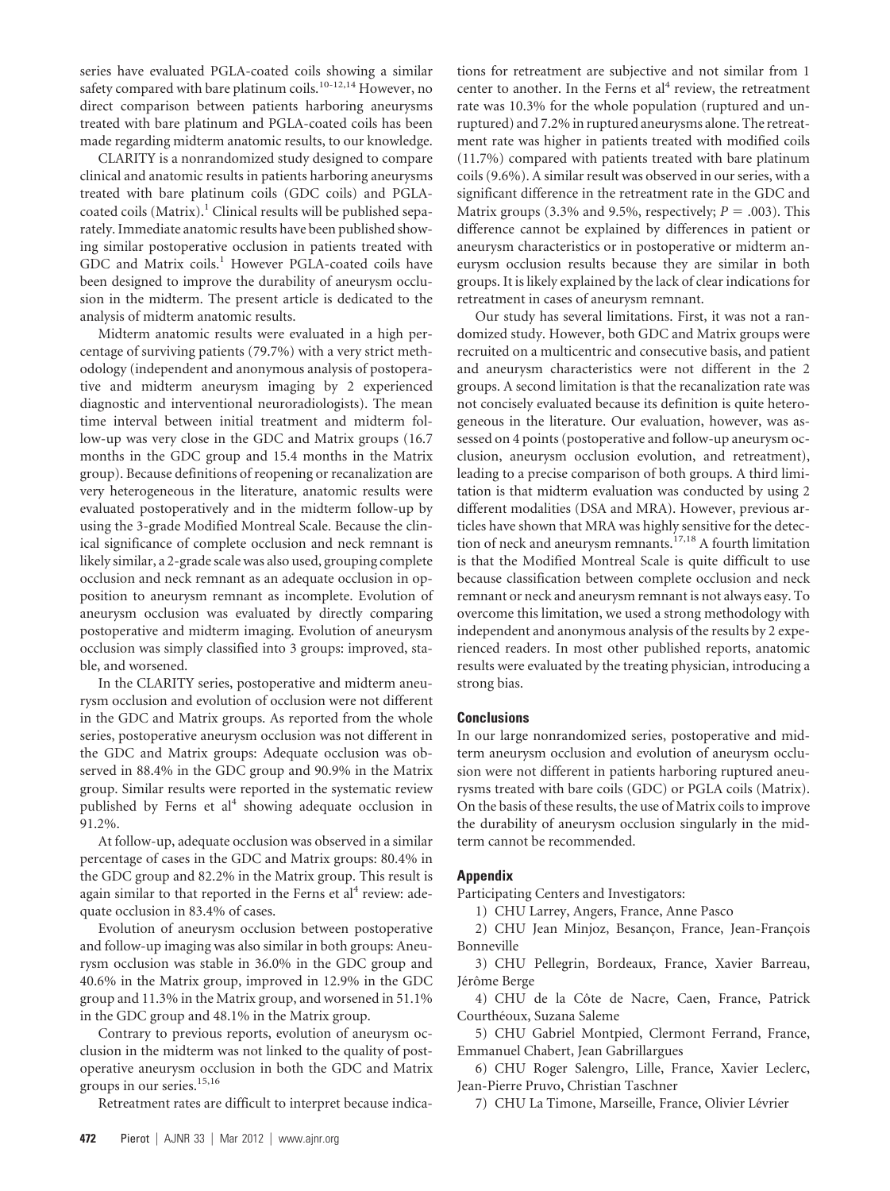series have evaluated PGLA-coated coils showing a similar safety compared with bare platinum coils.<sup>10-12,14</sup> However, no direct comparison between patients harboring aneurysms treated with bare platinum and PGLA-coated coils has been made regarding midterm anatomic results, to our knowledge.

CLARITY is a nonrandomized study designed to compare clinical and anatomic results in patients harboring aneurysms treated with bare platinum coils (GDC coils) and PGLAcoated coils (Matrix).<sup>1</sup> Clinical results will be published separately. Immediate anatomic results have been published showing similar postoperative occlusion in patients treated with GDC and Matrix coils.<sup>1</sup> However PGLA-coated coils have been designed to improve the durability of aneurysm occlusion in the midterm. The present article is dedicated to the analysis of midterm anatomic results.

Midterm anatomic results were evaluated in a high percentage of surviving patients (79.7%) with a very strict methodology (independent and anonymous analysis of postoperative and midterm aneurysm imaging by 2 experienced diagnostic and interventional neuroradiologists). The mean time interval between initial treatment and midterm follow-up was very close in the GDC and Matrix groups (16.7 months in the GDC group and 15.4 months in the Matrix group). Because definitions of reopening or recanalization are very heterogeneous in the literature, anatomic results were evaluated postoperatively and in the midterm follow-up by using the 3-grade Modified Montreal Scale. Because the clinical significance of complete occlusion and neck remnant is likely similar, a 2-grade scale was also used, grouping complete occlusion and neck remnant as an adequate occlusion in opposition to aneurysm remnant as incomplete. Evolution of aneurysm occlusion was evaluated by directly comparing postoperative and midterm imaging. Evolution of aneurysm occlusion was simply classified into 3 groups: improved, stable, and worsened.

In the CLARITY series, postoperative and midterm aneurysm occlusion and evolution of occlusion were not different in the GDC and Matrix groups. As reported from the whole series, postoperative aneurysm occlusion was not different in the GDC and Matrix groups: Adequate occlusion was observed in 88.4% in the GDC group and 90.9% in the Matrix group. Similar results were reported in the systematic review published by Ferns et al<sup>4</sup> showing adequate occlusion in 91.2%.

At follow-up, adequate occlusion was observed in a similar percentage of cases in the GDC and Matrix groups: 80.4% in the GDC group and 82.2% in the Matrix group. This result is again similar to that reported in the Ferns et  $al<sup>4</sup>$  review: adequate occlusion in 83.4% of cases.

Evolution of aneurysm occlusion between postoperative and follow-up imaging was also similar in both groups: Aneurysm occlusion was stable in 36.0% in the GDC group and 40.6% in the Matrix group, improved in 12.9% in the GDC group and 11.3% in the Matrix group, and worsened in 51.1% in the GDC group and 48.1% in the Matrix group.

Contrary to previous reports, evolution of aneurysm occlusion in the midterm was not linked to the quality of postoperative aneurysm occlusion in both the GDC and Matrix groups in our series.<sup>15,16</sup>

Retreatment rates are difficult to interpret because indica-

tions for retreatment are subjective and not similar from 1 center to another. In the Ferns et  $al<sup>4</sup>$  review, the retreatment rate was 10.3% for the whole population (ruptured and unruptured) and 7.2% in ruptured aneurysms alone. The retreatment rate was higher in patients treated with modified coils (11.7%) compared with patients treated with bare platinum coils (9.6%). A similar result was observed in our series, with a significant difference in the retreatment rate in the GDC and Matrix groups (3.3% and 9.5%, respectively;  $P = .003$ ). This difference cannot be explained by differences in patient or aneurysm characteristics or in postoperative or midterm aneurysm occlusion results because they are similar in both groups. It is likely explained by the lack of clear indications for retreatment in cases of aneurysm remnant.

Our study has several limitations. First, it was not a randomized study. However, both GDC and Matrix groups were recruited on a multicentric and consecutive basis, and patient and aneurysm characteristics were not different in the 2 groups. A second limitation is that the recanalization rate was not concisely evaluated because its definition is quite heterogeneous in the literature. Our evaluation, however, was assessed on 4 points (postoperative and follow-up aneurysm occlusion, aneurysm occlusion evolution, and retreatment), leading to a precise comparison of both groups. A third limitation is that midterm evaluation was conducted by using 2 different modalities (DSA and MRA). However, previous articles have shown that MRA was highly sensitive for the detection of neck and aneurysm remnants.<sup>17,18</sup> A fourth limitation is that the Modified Montreal Scale is quite difficult to use because classification between complete occlusion and neck remnant or neck and aneurysm remnant is not always easy. To overcome this limitation, we used a strong methodology with independent and anonymous analysis of the results by 2 experienced readers. In most other published reports, anatomic results were evaluated by the treating physician, introducing a strong bias.

### **Conclusions**

In our large nonrandomized series, postoperative and midterm aneurysm occlusion and evolution of aneurysm occlusion were not different in patients harboring ruptured aneurysms treated with bare coils (GDC) or PGLA coils (Matrix). On the basis of these results, the use of Matrix coils to improve the durability of aneurysm occlusion singularly in the midterm cannot be recommended.

#### **Appendix**

Participating Centers and Investigators:

1) CHU Larrey, Angers, France, Anne Pasco

2) CHU Jean Minjoz, Besançon, France, Jean-François Bonneville

3) CHU Pellegrin, Bordeaux, France, Xavier Barreau, Jérôme Berge

4) CHU de la Côte de Nacre, Caen, France, Patrick Courthéoux, Suzana Saleme

5) CHU Gabriel Montpied, Clermont Ferrand, France, Emmanuel Chabert, Jean Gabrillargues

6) CHU Roger Salengro, Lille, France, Xavier Leclerc, Jean-Pierre Pruvo, Christian Taschner

7) CHU La Timone, Marseille, France, Olivier Lévrier